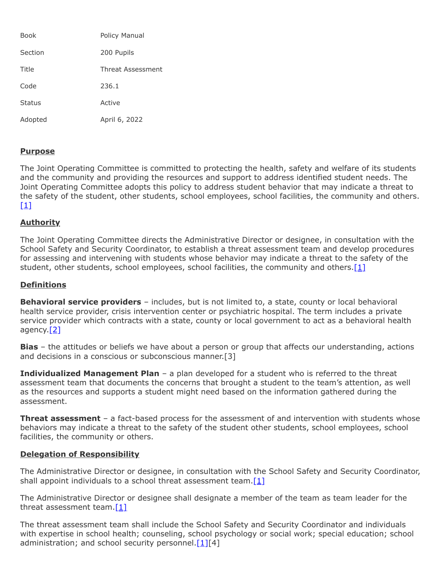| Book          | Policy Manual     |
|---------------|-------------------|
| Section       | 200 Pupils        |
| Title         | Threat Assessment |
| Code          | 236.1             |
| <b>Status</b> | Active            |
| Adopted       | April 6, 2022     |

## **Purpose**

The Joint Operating Committee is committed to protecting the health, safety and welfare of its students and the community and providing the resources and support to address identified student needs. The Joint Operating Committee adopts this policy to address student behavior that may indicate a threat to the safety of the student, other students, school employees, school facilities, the community and others.  $[1]$ 

# **Authority**

The Joint Operating Committee directs the Administrative Director or designee, in consultation with the School Safety and Security Coordinator, to establish a threat assessment team and develop procedures for assessing and intervening with students whose behavior may indicate a threat to the safety of the student, other students, school employees, school facilities, the community and others. $[1]$ 

### **Definitions**

**Behavioral service providers** – includes, but is not limited to, a state, county or local behavioral health service provider, crisis intervention center or psychiatric hospital. The term includes a private service provider which contracts with a state, county or local government to act as a behavioral health agency.<sup>[\[2\]](https://www.legis.state.pa.us/cfdocs/legis/LI/uconsCheck.cfm?txtType=HTM&yr=1949&sessInd=0&smthLwInd=0&act=14&chpt=13E&sctn=1&subsctn=0)</sup>

**Bias** – the attitudes or beliefs we have about a person or group that affects our understanding, actions and decisions in a conscious or subconscious manner.[3]

**Individualized Management Plan** – a plan developed for a student who is referred to the threat assessment team that documents the concerns that brought a student to the team's attention, as well as the resources and supports a student might need based on the information gathered during the assessment.

**Threat assessment** – a fact-based process for the assessment of and intervention with students whose behaviors may indicate a threat to the safety of the student other students, school employees, school facilities, the community or others.

## **Delegation of Responsibility**

The Administrative Director or designee, in consultation with the School Safety and Security Coordinator, shall appoint individuals to a school threat assessment team.<sup>[\[1\]](https://www.legis.state.pa.us/cfdocs/legis/LI/uconsCheck.cfm?txtType=HTM&yr=1949&sessInd=0&smthLwInd=0&act=14&chpt=13E&sctn=2&subsctn=0)</sup>

The Administrative Director or designee shall designate a member of the team as team leader for the threat assessment team.[\[1\]](https://www.legis.state.pa.us/cfdocs/legis/LI/uconsCheck.cfm?txtType=HTM&yr=1949&sessInd=0&smthLwInd=0&act=14&chpt=13E&sctn=2&subsctn=0)

The threat assessment team shall include the School Safety and Security Coordinator and individuals with expertise in school health; counseling, school psychology or social work; special education; school administration; and school security personnel. $[1][4]$  $[1][4]$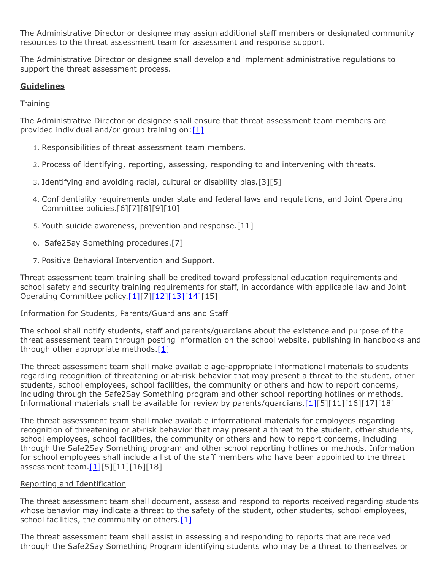The Administrative Director or designee may assign additional staff members or designated community resources to the threat assessment team for assessment and response support.

The Administrative Director or designee shall develop and implement administrative regulations to support the threat assessment process.

# **Guidelines**

### **Training**

The Administrative Director or designee shall ensure that threat assessment team members are provided individual and/or group training on: $[1]$ 

- 1. Responsibilities of threat assessment team members.
- 2. Process of identifying, reporting, assessing, responding to and intervening with threats.
- 3. Identifying and avoiding racial, cultural or disability bias.[3][5]
- 4. Confidentiality requirements under state and federal laws and regulations, and Joint Operating Committee policies.[6][7][8][9][10]
- 5. Youth suicide awareness, prevention and response.[11]
- 6. Safe2Say Something procedures.[7]
- 7. Positive Behavioral Intervention and Support.

Threat assessment team training shall be credited toward professional education requirements and school safety and security training requirements for staff, in accordance with applicable law and Joint Operating Committee policy[.\[1\]\[](https://www.legis.state.pa.us/cfdocs/legis/LI/uconsCheck.cfm?txtType=HTM&yr=1949&sessInd=0&smthLwInd=0&act=14&chpt=13E&sctn=2&subsctn=0)7][\[12\]](http://www.legis.state.pa.us/cfdocs/legis/LI/uconsCheck.cfm?txtType=HTM&yr=1949&sessInd=0&smthLwInd=0&act=14&chpt=12&sctn=5&subsctn=2)[\[13\]](http://www.legis.state.pa.us/cfdocs/legis/LI/uconsCheck.cfm?txtType=HTM&yr=1949&sessInd=0&smthLwInd=0&act=14&chpt=12&sctn=5&subsctn=5)[\[14\]](https://www.legis.state.pa.us/cfdocs/legis/LI/uconsCheck.cfm?txtType=HTM&yr=1949&sessInd=0&smthLwInd=0&act=14&chpt=13B&sctn=10&subsctn=0)[15]

### Information for Students, Parents/Guardians and Staff

The school shall notify students, staff and parents/guardians about the existence and purpose of the threat assessment team through posting information on the school website, publishing in handbooks and through other appropriate methods. $[1]$ 

The threat assessment team shall make available age-appropriate informational materials to students regarding recognition of threatening or at-risk behavior that may present a threat to the student, other students, school employees, school facilities, the community or others and how to report concerns, including through the Safe2Say Something program and other school reporting hotlines or methods. Informational materials shall be available for review by parents/guardians.[\[1\]\[](https://www.legis.state.pa.us/cfdocs/legis/LI/uconsCheck.cfm?txtType=HTM&yr=1949&sessInd=0&smthLwInd=0&act=14&chpt=13E&sctn=2&subsctn=0)5][11][16][17][18]

The threat assessment team shall make available informational materials for employees regarding recognition of threatening or at-risk behavior that may present a threat to the student, other students, school employees, school facilities, the community or others and how to report concerns, including through the Safe2Say Something program and other school reporting hotlines or methods. Information for school employees shall include a list of the staff members who have been appointed to the threat assessment team. $[1][5][11][16][18]$ 

#### Reporting and Identification

The threat assessment team shall document, assess and respond to reports received regarding students whose behavior may indicate a threat to the safety of the student, other students, school employees, school facilities, the community or others.<sup>[1]</sup>

The threat assessment team shall assist in assessing and responding to reports that are received through the Safe2Say Something Program identifying students who may be a threat to themselves or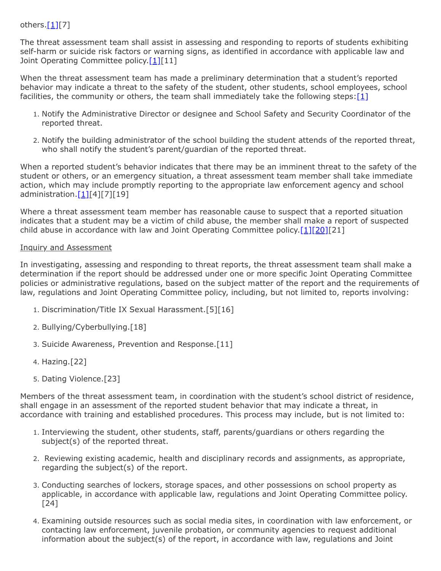# others.[\[1\]](https://www.legis.state.pa.us/cfdocs/legis/LI/uconsCheck.cfm?txtType=HTM&yr=1949&sessInd=0&smthLwInd=0&act=14&chpt=13E&sctn=2&subsctn=0)[7]

The threat assessment team shall assist in assessing and responding to reports of students exhibiting self-harm or suicide risk factors or warning signs, as identified in accordance with applicable law and Joint Operating Committee policy.<sup>[\[1\]](https://www.legis.state.pa.us/cfdocs/legis/LI/uconsCheck.cfm?txtType=HTM&yr=1949&sessInd=0&smthLwInd=0&act=14&chpt=13E&sctn=2&subsctn=0)[11]</sup>

When the threat assessment team has made a preliminary determination that a student's reported behavior may indicate a threat to the safety of the student, other students, school employees, school facilities, the community or others, the team shall immediately take the following steps: $[1]$ 

- 1. Notify the Administrative Director or designee and School Safety and Security Coordinator of the reported threat.
- 2. Notify the building administrator of the school building the student attends of the reported threat, who shall notify the student's parent/guardian of the reported threat.

When a reported student's behavior indicates that there may be an imminent threat to the safety of the student or others, or an emergency situation, a threat assessment team member shall take immediate action, which may include promptly reporting to the appropriate law enforcement agency and school administration. $[1][4][7][19]$  $[1][4][7][19]$ 

Where a threat assessment team member has reasonable cause to suspect that a reported situation indicates that a student may be a victim of child abuse, the member shall make a report of suspected child abuse in accordance with law and Joint Operating Committee policy. $[1][20][21]$  $[1][20][21]$  $[1][20][21]$ 

### Inquiry and Assessment

In investigating, assessing and responding to threat reports, the threat assessment team shall make a determination if the report should be addressed under one or more specific Joint Operating Committee policies or administrative regulations, based on the subject matter of the report and the requirements of law, regulations and Joint Operating Committee policy, including, but not limited to, reports involving:

- 1. Discrimination/Title IX Sexual Harassment.[5][16]
- 2. Bullying/Cyberbullying.[18]
- 3. Suicide Awareness, Prevention and Response.[11]
- 4. Hazing.[22]
- 5. Dating Violence.[23]

Members of the threat assessment team, in coordination with the student's school district of residence, shall engage in an assessment of the reported student behavior that may indicate a threat, in accordance with training and established procedures. This process may include, but is not limited to:

- 1. Interviewing the student, other students, staff, parents/guardians or others regarding the subject(s) of the reported threat.
- 2. Reviewing existing academic, health and disciplinary records and assignments, as appropriate, regarding the subject(s) of the report.
- 3. Conducting searches of lockers, storage spaces, and other possessions on school property as applicable, in accordance with applicable law, regulations and Joint Operating Committee policy. [24]
- 4. Examining outside resources such as social media sites, in coordination with law enforcement, or contacting law enforcement, juvenile probation, or community agencies to request additional information about the subject(s) of the report, in accordance with law, regulations and Joint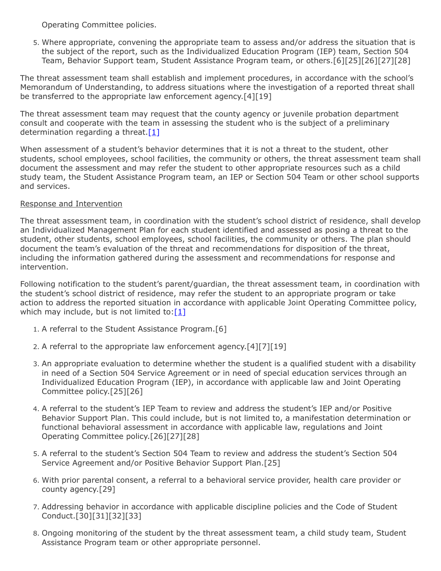Operating Committee policies.

5. Where appropriate, convening the appropriate team to assess and/or address the situation that is the subject of the report, such as the Individualized Education Program (IEP) team, Section 504 Team, Behavior Support team, Student Assistance Program team, or others.[6][25][26][27][28]

The threat assessment team shall establish and implement procedures, in accordance with the school's Memorandum of Understanding, to address situations where the investigation of a reported threat shall be transferred to the appropriate law enforcement agency.[4][19]

The threat assessment team may request that the county agency or juvenile probation department consult and cooperate with the team in assessing the student who is the subject of a preliminary determination regarding a threat.  $[1]$ 

When assessment of a student's behavior determines that it is not a threat to the student, other students, school employees, school facilities, the community or others, the threat assessment team shall document the assessment and may refer the student to other appropriate resources such as a child study team, the Student Assistance Program team, an IEP or Section 504 Team or other school supports and services.

# Response and Intervention

The threat assessment team, in coordination with the student's school district of residence, shall develop an Individualized Management Plan for each student identified and assessed as posing a threat to the student, other students, school employees, school facilities, the community or others. The plan should document the team's evaluation of the threat and recommendations for disposition of the threat, including the information gathered during the assessment and recommendations for response and intervention.

Following notification to the student's parent/guardian, the threat assessment team, in coordination with the student's school district of residence, may refer the student to an appropriate program or take action to address the reported situation in accordance with applicable Joint Operating Committee policy, which may include, but is not limited to:  $[1]$ 

- 1. A referral to the Student Assistance Program.[6]
- 2. A referral to the appropriate law enforcement agency.[4][7][19]
- 3. An appropriate evaluation to determine whether the student is a qualified student with a disability in need of a Section 504 Service Agreement or in need of special education services through an Individualized Education Program (IEP), in accordance with applicable law and Joint Operating Committee policy.[25][26]
- 4. A referral to the student's IEP Team to review and address the student's IEP and/or Positive Behavior Support Plan. This could include, but is not limited to, a manifestation determination or functional behavioral assessment in accordance with applicable law, regulations and Joint Operating Committee policy.[26][27][28]
- 5. A referral to the student's Section 504 Team to review and address the student's Section 504 Service Agreement and/or Positive Behavior Support Plan.[25]
- 6. With prior parental consent, a referral to a behavioral service provider, health care provider or county agency.[29]
- 7. Addressing behavior in accordance with applicable discipline policies and the Code of Student Conduct.[30][31][32][33]
- 8. Ongoing monitoring of the student by the threat assessment team, a child study team, Student Assistance Program team or other appropriate personnel.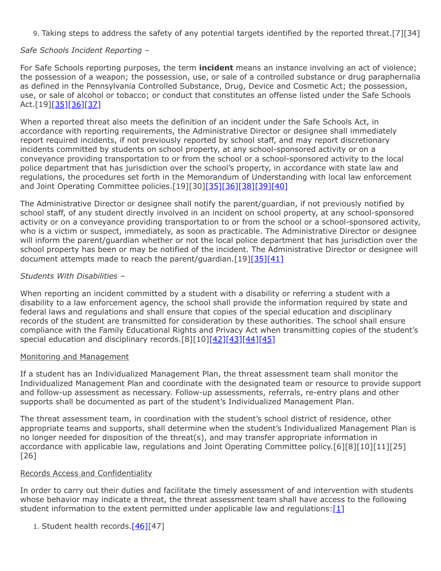9. Taking steps to address the safety of any potential targets identified by the reported threat.[7][34]

# *Safe Schools Incident Reporting –*

For Safe Schools reporting purposes, the term **incident** means an instance involving an act of violence; the possession of a weapon; the possession, use, or sale of a controlled substance or drug paraphernalia as defined in the Pennsylvania Controlled Substance, Drug, Device and Cosmetic Act; the possession, use, or sale of alcohol or tobacco; or conduct that constitutes an offense listed under the Safe Schools Act.[19][\[35\]](http://pacodeandbulletin.gov/Display/pacode?file=/secure/pacode/data/022/chapter10/s10.2.html&d=reduce)[\[36\]](http://www.legis.state.pa.us/cfdocs/legis/LI/uconsCheck.cfm?txtType=HTM&yr=1949&sessInd=0&smthLwInd=0&act=14&chpt=13A&sctn=3&subsctn=0)[\[37\]](http://www.legis.state.pa.us/cfdocs/legis/LI/uconsCheck.cfm?txtType=HTM&yr=1972&sessInd=0&smthLwInd=0&act=64&chpt=0&sctn=2&subsctn=0)

When a reported threat also meets the definition of an incident under the Safe Schools Act, in accordance with reporting requirements, the Administrative Director or designee shall immediately report required incidents, if not previously reported by school staff, and may report discretionary incidents committed by students on school property, at any school-sponsored activity or on a conveyance providing transportation to or from the school or a school-sponsored activity to the local police department that has jurisdiction over the school's property, in accordance with state law and regulations, the procedures set forth in the Memorandum of Understanding with local law enforcement and Joint Operating Committee policies.[19][30[\]\[35\]](http://pacodeandbulletin.gov/Display/pacode?file=/secure/pacode/data/022/chapter10/s10.2.html&d=reduce)[\[36\]](http://www.legis.state.pa.us/cfdocs/legis/LI/uconsCheck.cfm?txtType=HTM&yr=1949&sessInd=0&smthLwInd=0&act=14&chpt=13A&sctn=3&subsctn=0)[\[38\]](http://pacodeandbulletin.gov/Display/pacode?file=/secure/pacode/data/022/chapter10/s10.21.html&d=reduce)[\[39\]](http://pacodeandbulletin.gov/Display/pacode?file=/secure/pacode/data/022/chapter10/s10.22.html&d=reduce)[\[40\]](http://www.legis.state.pa.us/cfdocs/legis/LI/uconsCheck.cfm?txtType=HTM&yr=1949&sessInd=0&smthLwInd=0&act=14&chpt=13A&sctn=2&subsctn=1)

The Administrative Director or designee shall notify the parent/guardian, if not previously notified by school staff, of any student directly involved in an incident on school property, at any school-sponsored activity or on a conveyance providing transportation to or from the school or a school-sponsored activity, who is a victim or suspect, immediately, as soon as practicable. The Administrative Director or designee will inform the parent/guardian whether or not the local police department that has jurisdiction over the school property has been or may be notified of the incident. The Administrative Director or designee will document attempts made to reach the parent/guardian.[19[\]\[35\]](http://pacodeandbulletin.gov/Display/pacode?file=/secure/pacode/data/022/chapter10/s10.2.html&d=reduce)[\[41\]](http://pacodeandbulletin.gov/Display/pacode?file=/secure/pacode/data/022/chapter10/s10.25.html&d=reduce)

# *Students With Disabilities –*

When reporting an incident committed by a student with a disability or referring a student with a disability to a law enforcement agency, the school shall provide the information required by state and federal laws and regulations and shall ensure that copies of the special education and disciplinary records of the student are transmitted for consideration by these authorities. The school shall ensure compliance with the Family Educational Rights and Privacy Act when transmitting copies of the student's special education and disciplinary records.[8][10][\[42\]](http://www.law.cornell.edu/uscode/text/20/1232g)[\[43\]](http://www.law.cornell.edu/uscode/text/20/1415)[\[44\]](http://www.law.cornell.edu/cfr/text/34/part-300)[\[45\]](http://www.law.cornell.edu/cfr/text/34/part-99)

## Monitoring and Management

If a student has an Individualized Management Plan, the threat assessment team shall monitor the Individualized Management Plan and coordinate with the designated team or resource to provide support and follow-up assessment as necessary. Follow-up assessments, referrals, re-entry plans and other supports shall be documented as part of the student's Individualized Management Plan.

The threat assessment team, in coordination with the student's school district of residence, other appropriate teams and supports, shall determine when the student's Individualized Management Plan is no longer needed for disposition of the threat(s), and may transfer appropriate information in accordance with applicable law, regulations and Joint Operating Committee policy.[6][8][10][11][25] [26]

## Records Access and Confidentiality

In order to carry out their duties and facilitate the timely assessment of and intervention with students whose behavior may indicate a threat, the threat assessment team shall have access to the following student information to the extent permitted under applicable law and regulations[:\[1\]](https://www.legis.state.pa.us/cfdocs/legis/LI/uconsCheck.cfm?txtType=HTM&yr=1949&sessInd=0&smthLwInd=0&act=14&chpt=13E&sctn=2&subsctn=0)

1. Student health records.<sup>[\[46\]\[](http://www.legis.state.pa.us/cfdocs/legis/LI/uconsCheck.cfm?txtType=HTM&yr=1949&sessInd=0&smthLwInd=0&act=14&chpt=14&sctn=9&subsctn=0)47]</sup>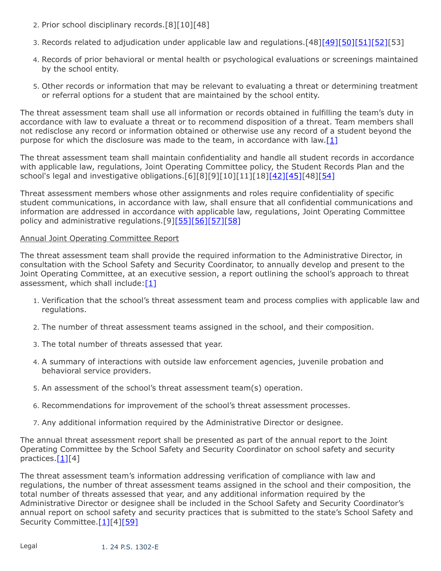- 2. Prior school disciplinary records.[8][10][48]
- 3. Records related to adjudication under applicable law and regulations.[48][\[49\]](http://www.legis.state.pa.us/cfdocs/legis/LI/uconsCheck.cfm?txtType=HTM&yr=1949&sessInd=0&smthLwInd=0&act=14&chpt=13A&sctn=4&subsctn=0)[\[50\]](http://www.legis.state.pa.us/cfdocs/legis/LI/uconsCheck.cfm?txtType=HTM&yr=1949&sessInd=0&smthLwInd=0&act=14&chpt=13A&sctn=5&subsctn=0)[\[51\]](http://www.legis.state.pa.us/cfdocs/legis/LI/uconsCheck.cfm?txtType=HTM&yr=1949&sessInd=0&smthLwInd=0&act=14&chpt=13A&sctn=7&subsctn=0)[\[52\]](http://www.legis.state.pa.us/cfdocs/legis/LI/consCheck.cfm?txtType=HTM&ttl=42&div=0&chpt=63&sctn=41&subsctn=0)[53]
- 4. Records of prior behavioral or mental health or psychological evaluations or screenings maintained by the school entity.
- 5. Other records or information that may be relevant to evaluating a threat or determining treatment or referral options for a student that are maintained by the school entity.

The threat assessment team shall use all information or records obtained in fulfilling the team's duty in accordance with law to evaluate a threat or to recommend disposition of a threat. Team members shall not redisclose any record or information obtained or otherwise use any record of a student beyond the purpose for which the disclosure was made to the team, in accordance with law.  $[1]$ 

The threat assessment team shall maintain confidentiality and handle all student records in accordance with applicable law, regulations, Joint Operating Committee policy, the Student Records Plan and the school's legal and investigative obligations.[6][8][9][10][11][18[\]\[42\]](http://www.law.cornell.edu/uscode/text/20/1232g)[\[45\]](http://www.law.cornell.edu/cfr/text/34/part-99)[48[\]\[54\]](https://www.legis.state.pa.us/cfdocs/legis/LI/uconsCheck.cfm?txtType=HTM&yr=1949&sessInd=0&smthLwInd=0&act=14&chpt=13D&sctn=4&subsctn=0)

Threat assessment members whose other assignments and roles require confidentiality of specific student communications, in accordance with law, shall ensure that all confidential communications and information are addressed in accordance with applicable law, regulations, Joint Operating Committee policy and administrative regulations.[9][\[55\]](http://pacodeandbulletin.gov/Display/pacode?file=/secure/pacode/data/022/chapter12/s12.12.html&d=reduce)[\[56\]](http://www.legis.state.pa.us/cfdocs/legis/LI/consCheck.cfm?txtType=HTM&ttl=42&div=0&chpt=59&sctn=45&subsctn=0)[\[57\]](http://www.legis.state.pa.us/cfdocs/legis/LI/consCheck.cfm?txtType=HTM&ttl=42&div=0&chpt=83&sctn=37&subsctn=0)[\[58\]](https://www.law.cornell.edu/cfr/text/42/part-2)

## Annual Joint Operating Committee Report

The threat assessment team shall provide the required information to the Administrative Director, in consultation with the School Safety and Security Coordinator, to annually develop and present to the Joint Operating Committee, at an executive session, a report outlining the school's approach to threat assessment, which shall include: $[1]$ 

- 1. Verification that the school's threat assessment team and process complies with applicable law and regulations.
- 2. The number of threat assessment teams assigned in the school, and their composition.
- 3. The total number of threats assessed that year.
- 4. A summary of interactions with outside law enforcement agencies, juvenile probation and behavioral service providers.
- 5. An assessment of the school's threat assessment team(s) operation.
- 6. Recommendations for improvement of the school's threat assessment processes.
- 7. Any additional information required by the Administrative Director or designee.

The annual threat assessment report shall be presented as part of the annual report to the Joint Operating Committee by the School Safety and Security Coordinator on school safety and security practices. $[1][4]$  $[1][4]$ 

The threat assessment team's information addressing verification of compliance with law and regulations, the number of threat assessment teams assigned in the school and their composition, the total number of threats assessed that year, and any additional information required by the Administrative Director or designee shall be included in the School Safety and Security Coordinator's annual report on school safety and security practices that is submitted to the state's School Safety and Security Committee.[\[1\]\[](https://www.legis.state.pa.us/cfdocs/legis/LI/uconsCheck.cfm?txtType=HTM&yr=1949&sessInd=0&smthLwInd=0&act=14&chpt=13E&sctn=2&subsctn=0)4[\]\[59\]](https://www.legis.state.pa.us/cfdocs/legis/LI/uconsCheck.cfm?txtType=HTM&yr=1949&sessInd=0&smthLwInd=0&act=14&chpt=13B&sctn=9&subsctn=0)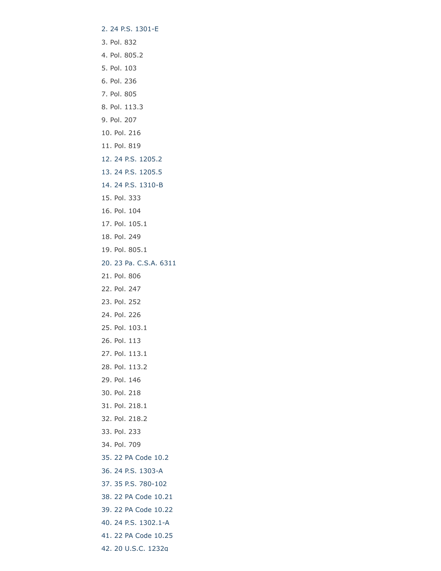- [2. 24 P.S. 1301-E](https://www.legis.state.pa.us/cfdocs/legis/LI/uconsCheck.cfm?txtType=HTM&yr=1949&sessInd=0&smthLwInd=0&act=14&chpt=13E&sctn=1&subsctn=0)
- 3. Pol. 832
- 4. Pol. 805.2
- 5. Pol. 103
- 6. Pol. 236
- 7. Pol. 805
- 8. Pol. 113.3
- 9. Pol. 207
- 10. Pol. 216
- 11. Pol. 819
- [12. 24 P.S. 1205.2](http://www.legis.state.pa.us/cfdocs/legis/LI/uconsCheck.cfm?txtType=HTM&yr=1949&sessInd=0&smthLwInd=0&act=14&chpt=12&sctn=5&subsctn=2)
- [13. 24 P.S. 1205.5](http://www.legis.state.pa.us/cfdocs/legis/LI/uconsCheck.cfm?txtType=HTM&yr=1949&sessInd=0&smthLwInd=0&act=14&chpt=12&sctn=5&subsctn=5)
- [14. 24 P.S. 1310-B](https://www.legis.state.pa.us/cfdocs/legis/LI/uconsCheck.cfm?txtType=HTM&yr=1949&sessInd=0&smthLwInd=0&act=14&chpt=13B&sctn=10&subsctn=0)
- 15. Pol. 333
- 16. Pol. 104
- 17. Pol. 105.1
- 18. Pol. 249
- 19. Pol. 805.1
- [20. 23 Pa. C.S.A. 6311](http://www.legis.state.pa.us/cfdocs/legis/LI/consCheck.cfm?txtType=HTM&ttl=23&div=0&chpt=63&sctn=11&subsctn=0)
- 21. Pol. 806
- 22. Pol. 247
- 23. Pol. 252
- 24. Pol. 226
- 25. Pol. 103.1
- 26. Pol. 113
- 27. Pol. 113.1
- 28. Pol. 113.2
- 29. Pol. 146
- 30. Pol. 218
- 31. Pol. 218.1
- 32. Pol. 218.2
- 33. Pol. 233
- 34. Pol. 709
- [35. 22 PA Code 10.2](http://pacodeandbulletin.gov/Display/pacode?file=/secure/pacode/data/022/chapter10/s10.2.html&d=reduce)
- [36. 24 P.S. 1303-A](http://www.legis.state.pa.us/cfdocs/legis/LI/uconsCheck.cfm?txtType=HTM&yr=1949&sessInd=0&smthLwInd=0&act=14&chpt=13A&sctn=3&subsctn=0)
- [37. 35 P.S. 780-102](http://www.legis.state.pa.us/cfdocs/legis/LI/uconsCheck.cfm?txtType=HTM&yr=1972&sessInd=0&smthLwInd=0&act=64&chpt=0&sctn=2&subsctn=0)
- [38. 22 PA Code 10.21](http://pacodeandbulletin.gov/Display/pacode?file=/secure/pacode/data/022/chapter10/s10.21.html&d=reduce)
- [39. 22 PA Code 10.22](http://pacodeandbulletin.gov/Display/pacode?file=/secure/pacode/data/022/chapter10/s10.22.html&d=reduce)
- [40. 24 P.S. 1302.1-A](http://www.legis.state.pa.us/cfdocs/legis/LI/uconsCheck.cfm?txtType=HTM&yr=1949&sessInd=0&smthLwInd=0&act=14&chpt=13A&sctn=2&subsctn=1)
- [41. 22 PA Code 10.25](http://pacodeandbulletin.gov/Display/pacode?file=/secure/pacode/data/022/chapter10/s10.25.html&d=reduce)
- [42. 20 U.S.C. 1232g](http://www.law.cornell.edu/uscode/text/20/1232g)